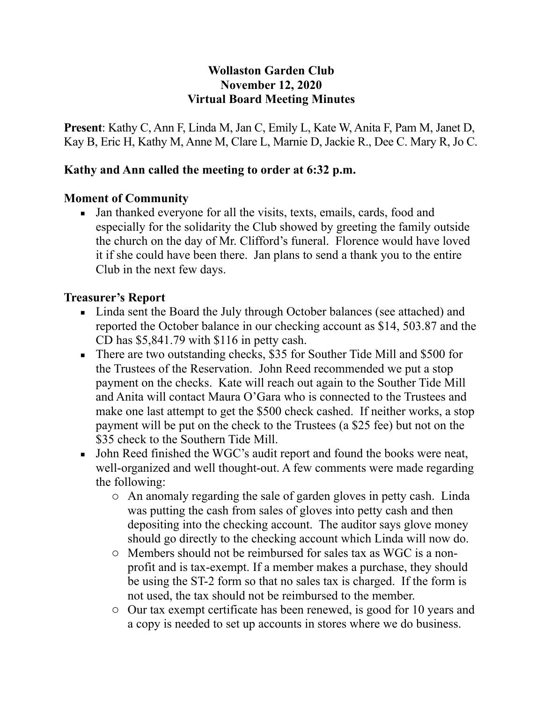#### **Wollaston Garden Club November 12, 2020 Virtual Board Meeting Minutes**

**Present**: Kathy C, Ann F, Linda M, Jan C, Emily L, Kate W, Anita F, Pam M, Janet D, Kay B, Eric H, Kathy M, Anne M, Clare L, Marnie D, Jackie R., Dee C. Mary R, Jo C.

### **Kathy and Ann called the meeting to order at 6:32 p.m.**

#### **Moment of Community**

▪ Jan thanked everyone for all the visits, texts, emails, cards, food and especially for the solidarity the Club showed by greeting the family outside the church on the day of Mr. Clifford's funeral. Florence would have loved it if she could have been there. Jan plans to send a thank you to the entire Club in the next few days.

#### **Treasurer's Report**

- Linda sent the Board the July through October balances (see attached) and reported the October balance in our checking account as \$14, 503.87 and the CD has \$5,841.79 with \$116 in petty cash.
- There are two outstanding checks, \$35 for Souther Tide Mill and \$500 for the Trustees of the Reservation. John Reed recommended we put a stop payment on the checks. Kate will reach out again to the Souther Tide Mill and Anita will contact Maura O'Gara who is connected to the Trustees and make one last attempt to get the \$500 check cashed. If neither works, a stop payment will be put on the check to the Trustees (a \$25 fee) but not on the \$35 check to the Southern Tide Mill.
- John Reed finished the WGC's audit report and found the books were neat, well-organized and well thought-out. A few comments were made regarding the following:
	- o An anomaly regarding the sale of garden gloves in petty cash. Linda was putting the cash from sales of gloves into petty cash and then depositing into the checking account. The auditor says glove money should go directly to the checking account which Linda will now do.
	- o Members should not be reimbursed for sales tax as WGC is a nonprofit and is tax-exempt. If a member makes a purchase, they should be using the ST-2 form so that no sales tax is charged. If the form is not used, the tax should not be reimbursed to the member.
	- o Our tax exempt certificate has been renewed, is good for 10 years and a copy is needed to set up accounts in stores where we do business.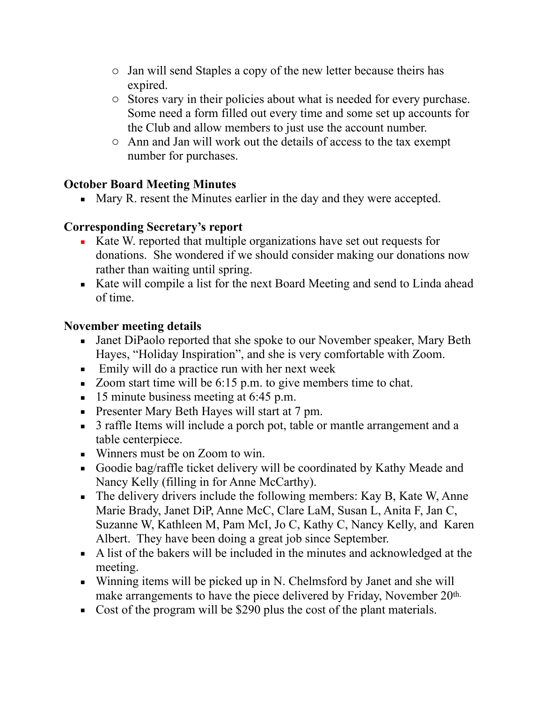- o Jan will send Staples a copy of the new letter because theirs has expired.
- o Stores vary in their policies about what is needed for every purchase. Some need a form filled out every time and some set up accounts for the Club and allow members to just use the account number.
- o Ann and Jan will work out the details of access to the tax exempt number for purchases.

# **October Board Meeting Minutes**

■ Mary R. resent the Minutes earlier in the day and they were accepted.

### **Corresponding Secretary's report**

- Kate W. reported that multiple organizations have set out requests for donations. She wondered if we should consider making our donations now rather than waiting until spring.
- Kate will compile a list for the next Board Meeting and send to Linda ahead of time.

### **November meeting details**

- Janet DiPaolo reported that she spoke to our November speaker, Mary Beth Hayes, "Holiday Inspiration", and she is very comfortable with Zoom.
- **Emily will do a practice run with her next week**
- Zoom start time will be 6:15 p.m. to give members time to chat.
- $\blacksquare$  15 minute business meeting at 6:45 p.m.
- **•** Presenter Mary Beth Hayes will start at 7 pm.
- 3 raffle Items will include a porch pot, table or mantle arrangement and a table centerpiece.
- Winners must be on Zoom to win.
- Goodie bag/raffle ticket delivery will be coordinated by Kathy Meade and Nancy Kelly (filling in for Anne McCarthy).
- **•** The delivery drivers include the following members: Kay B, Kate W, Anne Marie Brady, Janet DiP, Anne McC, Clare LaM, Susan L, Anita F, Jan C, Suzanne W, Kathleen M, Pam McI, Jo C, Kathy C, Nancy Kelly, and Karen Albert. They have been doing a great job since September.
- A list of the bakers will be included in the minutes and acknowledged at the meeting.
- $\blacksquare$  Winning items will be picked up in N. Chelmsford by Janet and she will make arrangements to have the piece delivered by Friday, November 20<sup>th.</sup>
- Cost of the program will be \$290 plus the cost of the plant materials.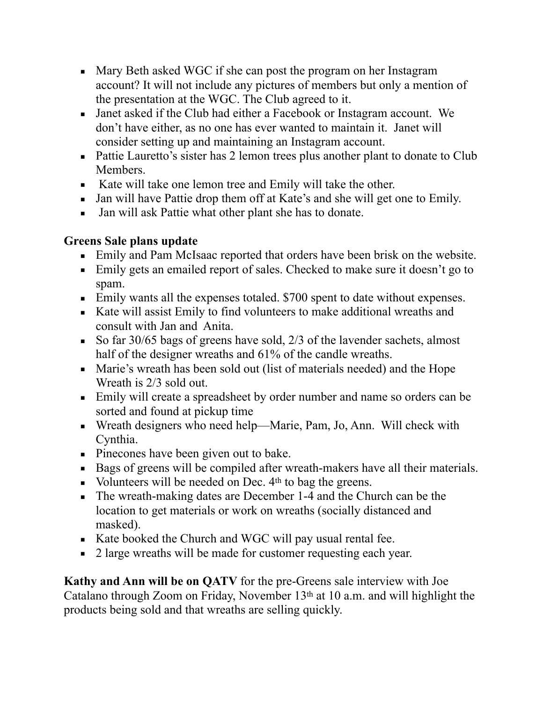- Mary Beth asked WGC if she can post the program on her Instagram account? It will not include any pictures of members but only a mention of the presentation at the WGC. The Club agreed to it.
- Janet asked if the Club had either a Facebook or Instagram account. We don't have either, as no one has ever wanted to maintain it. Janet will consider setting up and maintaining an Instagram account.
- Pattie Lauretto's sister has 2 lemon trees plus another plant to donate to Club Members.
- Kate will take one lemon tree and Emily will take the other.
- Jan will have Pattie drop them off at Kate's and she will get one to Emily.
- Jan will ask Pattie what other plant she has to donate.

# **Greens Sale plans update**

- Emily and Pam McIsaac reported that orders have been brisk on the website.
- **Emily gets an emailed report of sales. Checked to make sure it doesn't go to** spam.
- Emily wants all the expenses totaled. \$700 spent to date without expenses.
- Kate will assist Emily to find volunteers to make additional wreaths and consult with Jan and Anita.
- So far 30/65 bags of greens have sold,  $2/3$  of the lavender sachets, almost half of the designer wreaths and 61% of the candle wreaths.
- Marie's wreath has been sold out (list of materials needed) and the Hope Wreath is 2/3 sold out.
- Emily will create a spreadsheet by order number and name so orders can be sorted and found at pickup time
- Wreath designers who need help—Marie, Pam, Jo, Ann. Will check with Cynthia.
- **•** Pinecones have been given out to bake.
- Bags of greens will be compiled after wreath-makers have all their materials.
- $\blacksquare$  Volunteers will be needed on Dec.  $4<sup>th</sup>$  to bag the greens.
- The wreath-making dates are December 1-4 and the Church can be the location to get materials or work on wreaths (socially distanced and masked).
- Kate booked the Church and WGC will pay usual rental fee.
- 2 large wreaths will be made for customer requesting each year.

**Kathy and Ann will be on QATV** for the pre-Greens sale interview with Joe Catalano through Zoom on Friday, November 13th at 10 a.m. and will highlight the products being sold and that wreaths are selling quickly.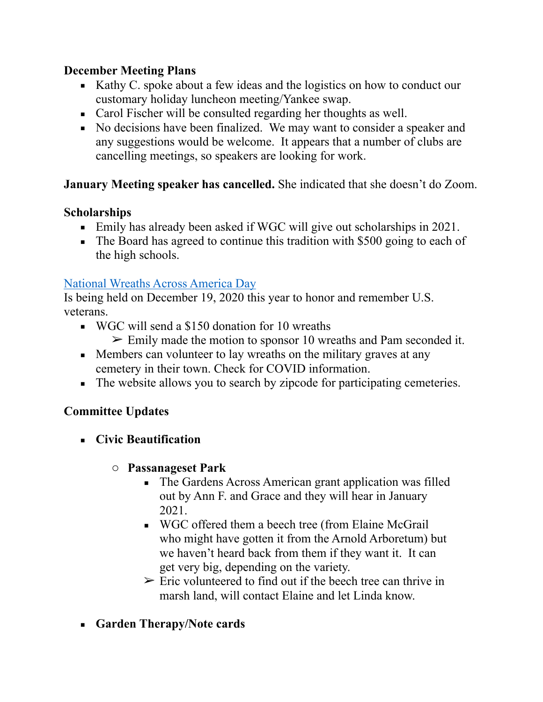### **December Meeting Plans**

- Kathy C. spoke about a few ideas and the logistics on how to conduct our customary holiday luncheon meeting/Yankee swap.
- Carol Fischer will be consulted regarding her thoughts as well.
- No decisions have been finalized. We may want to consider a speaker and any suggestions would be welcome. It appears that a number of clubs are cancelling meetings, so speakers are looking for work.

# **January Meeting speaker has cancelled.** She indicated that she doesn't do Zoom.

# **Scholarships**

- Emily has already been asked if WGC will give out scholarships in 2021.
- The Board has agreed to continue this tradition with \$500 going to each of the high schools.

### [National Wreaths Across America Day](https://www.wreathsacrossamerica.org/)

Is being held on December 19, 2020 this year to honor and remember U.S. veterans.

- WGC will send a \$150 donation for 10 wreaths  $\geq$  Emily made the motion to sponsor 10 wreaths and Pam seconded it.
- Members can volunteer to lay wreaths on the military graves at any cemetery in their town. Check for COVID information.
- The website allows you to search by zipcode for participating cemeteries.

# **Committee Updates**

- **Civic Beautification** 
	- o **Passanageset Park** 
		- The Gardens Across American grant application was filled out by Ann F. and Grace and they will hear in January 2021.
		- WGC offered them a beech tree (from Elaine McGrail who might have gotten it from the Arnold Arboretum) but we haven't heard back from them if they want it. It can get very big, depending on the variety.
		- $\triangleright$  Eric volunteered to find out if the beech tree can thrive in marsh land, will contact Elaine and let Linda know.
- **Garden Therapy/Note cards**